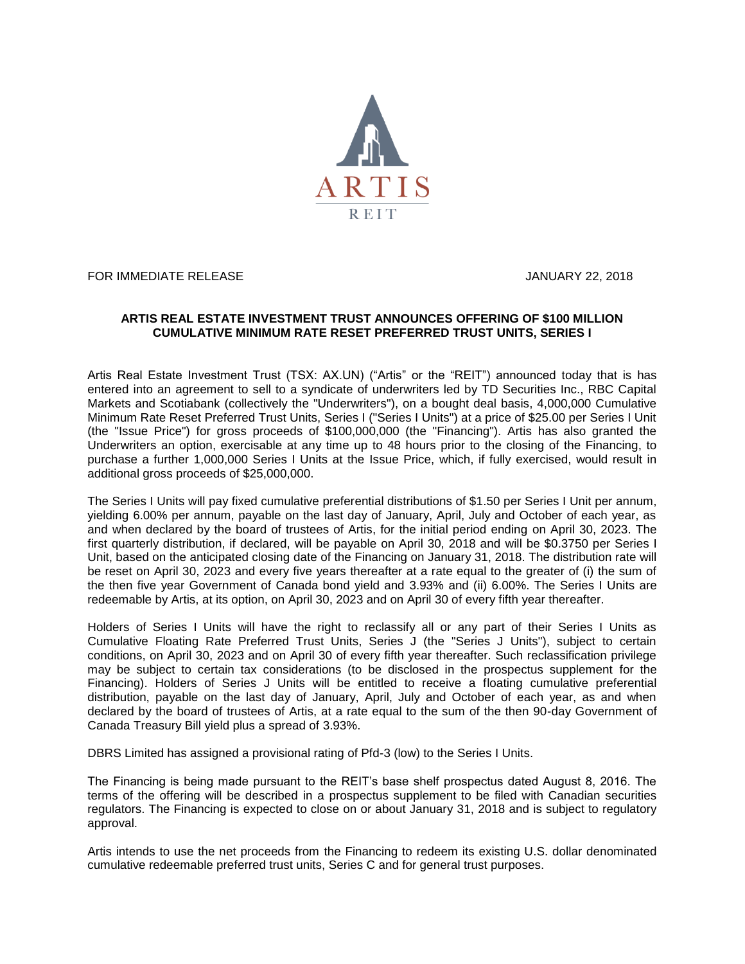

FOR IMMEDIATE RELEASE JANUARY 22, 2018

## **ARTIS REAL ESTATE INVESTMENT TRUST ANNOUNCES OFFERING OF \$100 MILLION CUMULATIVE MINIMUM RATE RESET PREFERRED TRUST UNITS, SERIES I**

Artis Real Estate Investment Trust (TSX: AX.UN) ("Artis" or the "REIT") announced today that is has entered into an agreement to sell to a syndicate of underwriters led by TD Securities Inc., RBC Capital Markets and Scotiabank (collectively the "Underwriters"), on a bought deal basis, 4,000,000 Cumulative Minimum Rate Reset Preferred Trust Units, Series I ("Series I Units") at a price of \$25.00 per Series I Unit (the "Issue Price") for gross proceeds of \$100,000,000 (the "Financing"). Artis has also granted the Underwriters an option, exercisable at any time up to 48 hours prior to the closing of the Financing, to purchase a further 1,000,000 Series I Units at the Issue Price, which, if fully exercised, would result in additional gross proceeds of \$25,000,000.

The Series I Units will pay fixed cumulative preferential distributions of \$1.50 per Series I Unit per annum, yielding 6.00% per annum, payable on the last day of January, April, July and October of each year, as and when declared by the board of trustees of Artis, for the initial period ending on April 30, 2023. The first quarterly distribution, if declared, will be payable on April 30, 2018 and will be \$0.3750 per Series I Unit, based on the anticipated closing date of the Financing on January 31, 2018. The distribution rate will be reset on April 30, 2023 and every five years thereafter at a rate equal to the greater of (i) the sum of the then five year Government of Canada bond yield and 3.93% and (ii) 6.00%. The Series I Units are redeemable by Artis, at its option, on April 30, 2023 and on April 30 of every fifth year thereafter.

Holders of Series I Units will have the right to reclassify all or any part of their Series I Units as Cumulative Floating Rate Preferred Trust Units, Series J (the "Series J Units"), subject to certain conditions, on April 30, 2023 and on April 30 of every fifth year thereafter. Such reclassification privilege may be subject to certain tax considerations (to be disclosed in the prospectus supplement for the Financing). Holders of Series J Units will be entitled to receive a floating cumulative preferential distribution, payable on the last day of January, April, July and October of each year, as and when declared by the board of trustees of Artis, at a rate equal to the sum of the then 90-day Government of Canada Treasury Bill yield plus a spread of 3.93%.

DBRS Limited has assigned a provisional rating of Pfd-3 (low) to the Series I Units.

The Financing is being made pursuant to the REIT's base shelf prospectus dated August 8, 2016. The terms of the offering will be described in a prospectus supplement to be filed with Canadian securities regulators. The Financing is expected to close on or about January 31, 2018 and is subject to regulatory approval.

Artis intends to use the net proceeds from the Financing to redeem its existing U.S. dollar denominated cumulative redeemable preferred trust units, Series C and for general trust purposes.